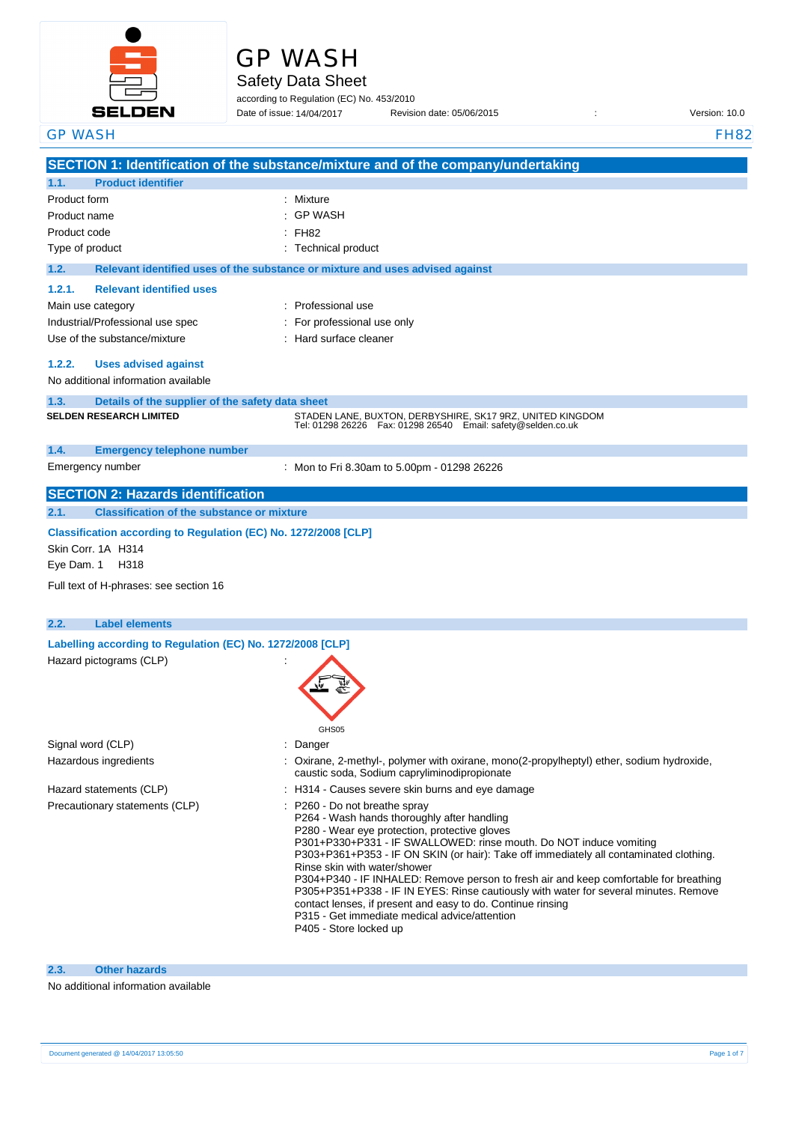

# GP WASH

Safety Data Sheet

according to Regulation (EC) No. 453/2010 Date of issue: 14/04/2017

Date of issue: Revision date: 05/06/2015 : Version: 10.0

| <b>GP WASH</b>                                                                                                                                                                                                             | <b>FH82</b>                                                                                                                                                                                                                                                                                                                                                                                                                                                                                                                                                                                                                                              |
|----------------------------------------------------------------------------------------------------------------------------------------------------------------------------------------------------------------------------|----------------------------------------------------------------------------------------------------------------------------------------------------------------------------------------------------------------------------------------------------------------------------------------------------------------------------------------------------------------------------------------------------------------------------------------------------------------------------------------------------------------------------------------------------------------------------------------------------------------------------------------------------------|
|                                                                                                                                                                                                                            | SECTION 1: Identification of the substance/mixture and of the company/undertaking                                                                                                                                                                                                                                                                                                                                                                                                                                                                                                                                                                        |
| <b>Product identifier</b><br>1.1.                                                                                                                                                                                          |                                                                                                                                                                                                                                                                                                                                                                                                                                                                                                                                                                                                                                                          |
| Product form<br>Product name<br>Product code<br>Type of product                                                                                                                                                            | : Mixture<br><b>GP WASH</b><br>: FH82<br>: Technical product                                                                                                                                                                                                                                                                                                                                                                                                                                                                                                                                                                                             |
| 1.2.<br>1.2.1.<br><b>Relevant identified uses</b><br>Main use category<br>Industrial/Professional use spec<br>Use of the substance/mixture<br>1.2.2.<br><b>Uses advised against</b><br>No additional information available | Relevant identified uses of the substance or mixture and uses advised against<br>: Professional use<br>For professional use only<br>: Hard surface cleaner                                                                                                                                                                                                                                                                                                                                                                                                                                                                                               |
| 1.3.<br>Details of the supplier of the safety data sheet<br><b>SELDEN RESEARCH LIMITED</b>                                                                                                                                 | STADEN LANE, BUXTON, DERBYSHIRE, SK17 9RZ, UNITED KINGDOM<br>Tel: 01298 26226    Fax: 01298 26540    Email: safety@selden.co.uk                                                                                                                                                                                                                                                                                                                                                                                                                                                                                                                          |
| 1.4.<br><b>Emergency telephone number</b><br>Emergency number                                                                                                                                                              | : Mon to Fri 8.30am to 5.00pm - 01298 26226                                                                                                                                                                                                                                                                                                                                                                                                                                                                                                                                                                                                              |
| <b>SECTION 2: Hazards identification</b>                                                                                                                                                                                   |                                                                                                                                                                                                                                                                                                                                                                                                                                                                                                                                                                                                                                                          |
| Classification according to Regulation (EC) No. 1272/2008 [CLP]<br>Skin Corr. 1A H314<br>Eye Dam. 1 H318<br>Full text of H-phrases: see section 16                                                                         |                                                                                                                                                                                                                                                                                                                                                                                                                                                                                                                                                                                                                                                          |
| 2.2.<br><b>Label elements</b>                                                                                                                                                                                              |                                                                                                                                                                                                                                                                                                                                                                                                                                                                                                                                                                                                                                                          |
| Labelling according to Regulation (EC) No. 1272/2008 [CLP]<br>Hazard pictograms (CLP)                                                                                                                                      | GHS05                                                                                                                                                                                                                                                                                                                                                                                                                                                                                                                                                                                                                                                    |
| Signal word (CLP)                                                                                                                                                                                                          | : Danger                                                                                                                                                                                                                                                                                                                                                                                                                                                                                                                                                                                                                                                 |
| Hazardous ingredients                                                                                                                                                                                                      | : Oxirane, 2-methyl-, polymer with oxirane, mono(2-propylheptyl) ether, sodium hydroxide,<br>caustic soda, Sodium capryliminodipropionate                                                                                                                                                                                                                                                                                                                                                                                                                                                                                                                |
| Hazard statements (CLP)                                                                                                                                                                                                    | : H314 - Causes severe skin burns and eye damage                                                                                                                                                                                                                                                                                                                                                                                                                                                                                                                                                                                                         |
| Precautionary statements (CLP)                                                                                                                                                                                             | : P260 - Do not breathe spray<br>P264 - Wash hands thoroughly after handling<br>P280 - Wear eye protection, protective gloves<br>P301+P330+P331 - IF SWALLOWED: rinse mouth. Do NOT induce vomiting<br>P303+P361+P353 - IF ON SKIN (or hair): Take off immediately all contaminated clothing.<br>Rinse skin with water/shower<br>P304+P340 - IF INHALED: Remove person to fresh air and keep comfortable for breathing<br>P305+P351+P338 - IF IN EYES: Rinse cautiously with water for several minutes. Remove<br>contact lenses, if present and easy to do. Continue rinsing<br>P315 - Get immediate medical advice/attention<br>P405 - Store locked up |

## **2.3. Other hazards**

### No additional information available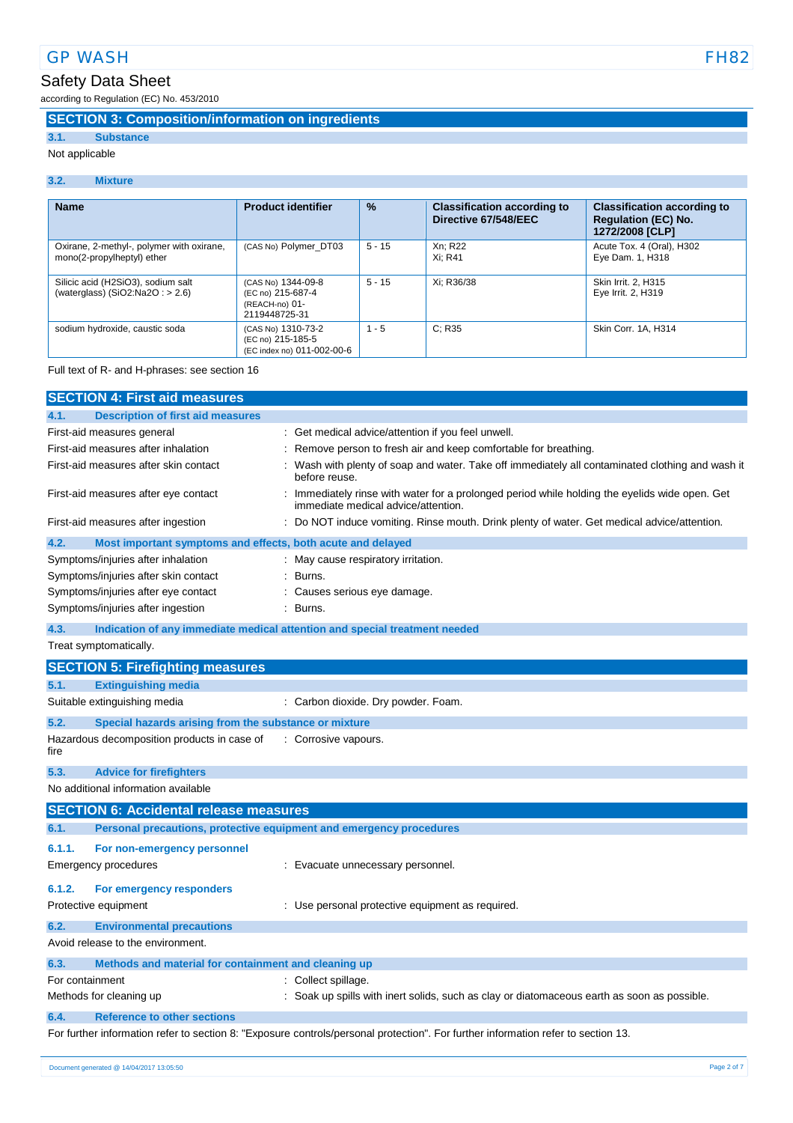# Safety Data Sheet

according to Regulation (EC) No. 453/2010

## **SECTION 3: Composition/information on ingredients**

# **3.1. Substance**

Not applicable

#### **3.2. Mixture**

| <b>Name</b>                                                             | <b>Product identifier</b>                                                  | $\frac{9}{6}$ | <b>Classification according to</b><br>Directive 67/548/EEC | <b>Classification according to</b><br><b>Regulation (EC) No.</b><br>1272/2008 [CLP] |
|-------------------------------------------------------------------------|----------------------------------------------------------------------------|---------------|------------------------------------------------------------|-------------------------------------------------------------------------------------|
| Oxirane, 2-methyl-, polymer with oxirane,<br>mono(2-propylheptyl) ether | (CAS No) Polymer_DT03                                                      | $5 - 15$      | Xn; R22<br>Xi: R41                                         | Acute Tox. 4 (Oral), H302<br>Eye Dam. 1, H318                                       |
| Silicic acid (H2SiO3), sodium salt<br>(waterglass) $(SiO2:Na2O: > 2.6)$ | (CAS No) 1344-09-8<br>(EC no) 215-687-4<br>(REACH-no) 01-<br>2119448725-31 | $5 - 15$      | Xi; R36/38                                                 | Skin Irrit. 2, H315<br>Eye Irrit. 2, H319                                           |
| sodium hydroxide, caustic soda                                          | (CAS No) 1310-73-2<br>(EC no) 215-185-5<br>(EC index no) 011-002-00-6      | $1 - 5$       | C: R35                                                     | Skin Corr. 1A, H314                                                                 |

#### Full text of R- and H-phrases: see section 16

| <b>SECTION 4: First aid measures</b>                                        |                                                                                                                                     |
|-----------------------------------------------------------------------------|-------------------------------------------------------------------------------------------------------------------------------------|
| 4.1.<br><b>Description of first aid measures</b>                            |                                                                                                                                     |
| First-aid measures general                                                  | Get medical advice/attention if you feel unwell.                                                                                    |
| First-aid measures after inhalation                                         | Remove person to fresh air and keep comfortable for breathing.                                                                      |
| First-aid measures after skin contact                                       | Wash with plenty of soap and water. Take off immediately all contaminated clothing and wash it<br>before reuse.                     |
| First-aid measures after eye contact                                        | Immediately rinse with water for a prolonged period while holding the eyelids wide open. Get<br>immediate medical advice/attention. |
| First-aid measures after ingestion                                          | Do NOT induce vomiting. Rinse mouth. Drink plenty of water. Get medical advice/attention.                                           |
| Most important symptoms and effects, both acute and delayed<br>4.2.         |                                                                                                                                     |
| Symptoms/injuries after inhalation                                          | : May cause respiratory irritation.                                                                                                 |
| Symptoms/injuries after skin contact                                        | Burns.                                                                                                                              |
| Symptoms/injuries after eye contact                                         | Causes serious eye damage.                                                                                                          |
| Symptoms/injuries after ingestion                                           | Burns.                                                                                                                              |
| 4.3.                                                                        | Indication of any immediate medical attention and special treatment needed                                                          |
| Treat symptomatically.                                                      |                                                                                                                                     |
| <b>SECTION 5: Firefighting measures</b>                                     |                                                                                                                                     |
| <b>Extinguishing media</b><br>5.1.                                          |                                                                                                                                     |
| Suitable extinguishing media                                                | : Carbon dioxide. Dry powder. Foam.                                                                                                 |
| 5.2.<br>Special hazards arising from the substance or mixture               |                                                                                                                                     |
| Hazardous decomposition products in case of<br>fire                         | : Corrosive vapours.                                                                                                                |
| 5.3.<br><b>Advice for firefighters</b>                                      |                                                                                                                                     |
| No additional information available                                         |                                                                                                                                     |
| <b>SECTION 6: Accidental release measures</b>                               |                                                                                                                                     |
| Personal precautions, protective equipment and emergency procedures<br>6.1. |                                                                                                                                     |
| 6.1.1.<br>For non-emergency personnel                                       |                                                                                                                                     |
| Emergency procedures                                                        | : Evacuate unnecessary personnel.                                                                                                   |
| 6.1.2.<br>For emergency responders                                          |                                                                                                                                     |
| Protective equipment                                                        | : Use personal protective equipment as required.                                                                                    |
| <b>Environmental precautions</b><br>6.2.                                    |                                                                                                                                     |
| Avoid release to the environment.                                           |                                                                                                                                     |
| 6.3.<br>Methods and material for containment and cleaning up                |                                                                                                                                     |
| For containment                                                             | Collect spillage.                                                                                                                   |
| Methods for cleaning up                                                     | Soak up spills with inert solids, such as clay or diatomaceous earth as soon as possible.                                           |
| 6.4.<br><b>Reference to other sections</b>                                  |                                                                                                                                     |
|                                                                             | For further information refer to section 8: "Exposure controls/personal protection". For further information refer to section 13.   |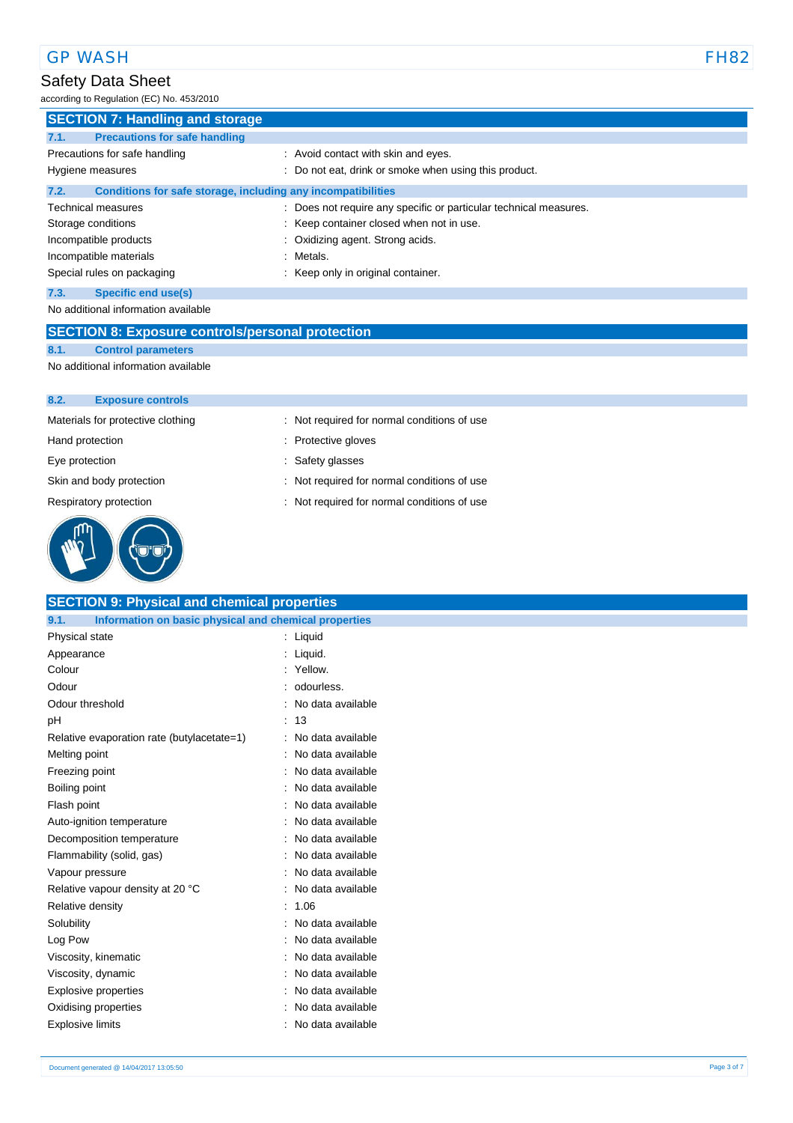### Safety Data Sheet

according to Regulation (EC) No. 453/2010

| <b>SECTION 7: Handling and storage</b>                               |                                                                   |  |  |
|----------------------------------------------------------------------|-------------------------------------------------------------------|--|--|
| <b>Precautions for safe handling</b><br>7.1.                         |                                                                   |  |  |
| Precautions for safe handling                                        | : Avoid contact with skin and eyes.                               |  |  |
| Hygiene measures                                                     | : Do not eat, drink or smoke when using this product.             |  |  |
| Conditions for safe storage, including any incompatibilities<br>7.2. |                                                                   |  |  |
| <b>Technical measures</b>                                            | : Does not require any specific or particular technical measures. |  |  |
| Storage conditions                                                   | : Keep container closed when not in use.                          |  |  |
| Incompatible products                                                | : Oxidizing agent. Strong acids.                                  |  |  |
| Incompatible materials                                               | : Metals.                                                         |  |  |
| Special rules on packaging                                           | : Keep only in original container.                                |  |  |
| 7.3.<br>Specific end use(s)                                          |                                                                   |  |  |

No additional information available

# **SECTION 8: Exposure controls/personal protection**

**8.1. Control parameters**

No additional information available

#### **8.2. Exposure controls**

| Materials for protective clothing | : Not required for normal conditions of use |
|-----------------------------------|---------------------------------------------|
| Hand protection                   | : Protective gloves                         |
| Eye protection                    | : Safety glasses                            |
| Skin and body protection          | : Not required for normal conditions of use |
| Respiratory protection            | : Not required for normal conditions of use |
|                                   |                                             |

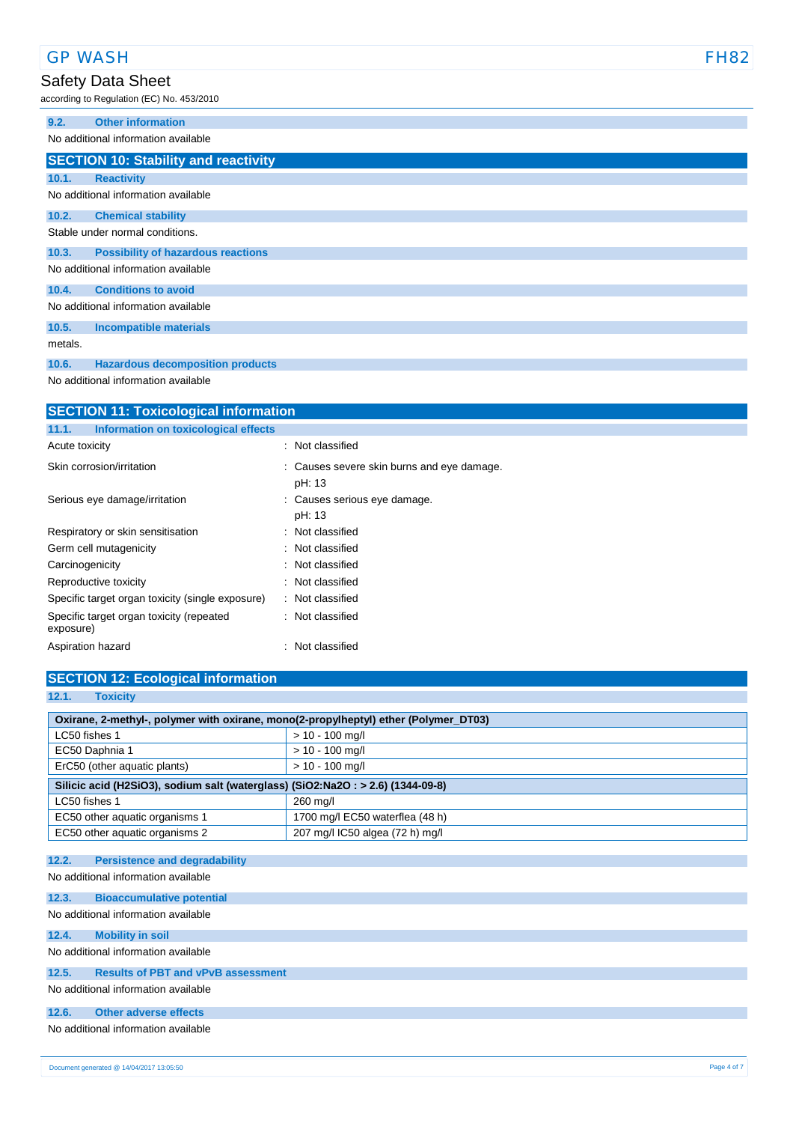|         | <b>GP WASH</b>                                                  | <b>FH82</b> |
|---------|-----------------------------------------------------------------|-------------|
|         | Safety Data Sheet<br>according to Regulation (EC) No. 453/2010  |             |
| 9.2.    | <b>Other information</b><br>No additional information available |             |
|         | <b>SECTION 10: Stability and reactivity</b>                     |             |
| 10.1.   | <b>Reactivity</b>                                               |             |
|         | No additional information available                             |             |
| 10.2.   | <b>Chemical stability</b>                                       |             |
|         | Stable under normal conditions.                                 |             |
| 10.3.   | <b>Possibility of hazardous reactions</b>                       |             |
|         | No additional information available                             |             |
| 10.4.   | <b>Conditions to avoid</b>                                      |             |
|         | No additional information available                             |             |
| 10.5.   | <b>Incompatible materials</b>                                   |             |
| metals. |                                                                 |             |
| 10.6.   | <b>Hazardous decomposition products</b>                         |             |

No additional information available

| <b>SECTION 11: Toxicological information</b>          |                                                      |  |  |
|-------------------------------------------------------|------------------------------------------------------|--|--|
| Information on toxicological effects<br>11.1.         |                                                      |  |  |
| Acute toxicity                                        | : Not classified                                     |  |  |
| Skin corrosion/irritation                             | : Causes severe skin burns and eye damage.<br>pH: 13 |  |  |
| Serious eye damage/irritation                         | : Causes serious eye damage.<br>pH: 13               |  |  |
| Respiratory or skin sensitisation                     | : Not classified                                     |  |  |
| Germ cell mutagenicity                                | : Not classified                                     |  |  |
| Carcinogenicity                                       | : Not classified                                     |  |  |
| Reproductive toxicity                                 | : Not classified                                     |  |  |
| Specific target organ toxicity (single exposure)      | : Not classified                                     |  |  |
| Specific target organ toxicity (repeated<br>exposure) | : Not classified                                     |  |  |
| Aspiration hazard                                     | : Not classified                                     |  |  |

# **SECTION 12: Ecological information**

| 12.1.<br><b>Toxicity</b>                                                            |                                 |  |
|-------------------------------------------------------------------------------------|---------------------------------|--|
| Oxirane, 2-methyl-, polymer with oxirane, mono(2-propylheptyl) ether (Polymer_DT03) |                                 |  |
| LC50 fishes 1                                                                       | $> 10 - 100$ mg/l               |  |
| EC50 Daphnia 1                                                                      | $> 10 - 100$ mg/l               |  |
| ErC50 (other aquatic plants)                                                        | $> 10 - 100$ mg/l               |  |
| Silicic acid (H2SiO3), sodium salt (waterglass) (SiO2:Na2O : > 2.6) (1344-09-8)     |                                 |  |
| LC50 fishes 1                                                                       | 260 mg/l                        |  |
| EC50 other aquatic organisms 1                                                      | 1700 mg/l EC50 waterflea (48 h) |  |
| EC50 other aquatic organisms 2                                                      | 207 mg/l IC50 algea (72 h) mg/l |  |
|                                                                                     |                                 |  |

### **12.2. Persistence and degradability**

No additional information available

| 12.3. | <b>Bioaccumulative potential</b>          |
|-------|-------------------------------------------|
|       | No additional information available       |
| 12.4. | <b>Mobility in soil</b>                   |
|       | No additional information available       |
| 12.5. | <b>Results of PBT and vPvB assessment</b> |
|       | No additional information available       |
| 12.6. | Other adverse effects                     |
|       | No additional information available       |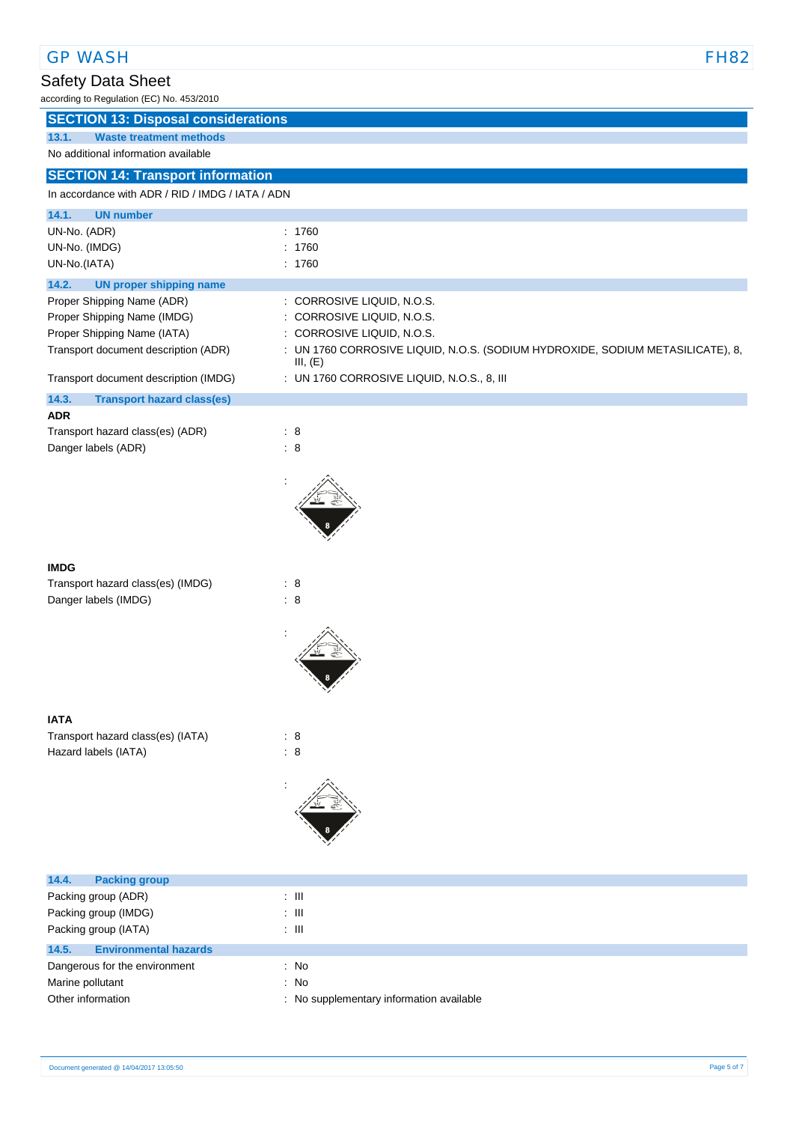### GP WASH FH82

# Safety Data Sheet

according to Regulation (EC) No. 453/2010

| <b>SECTION 13: Disposal considerations</b> |  |  |
|--------------------------------------------|--|--|
|                                            |  |  |

**13.1. Waste treatment methods**

# No additional information available

# **SECTION 14: Transport information**

### In accordance with ADR / RID / IMDG / IATA / ADN

| <b>UN number</b><br>14.1.                  |                                                                                            |
|--------------------------------------------|--------------------------------------------------------------------------------------------|
| UN-No. (ADR)                               | : 1760                                                                                     |
| UN-No. (IMDG)                              | 1760<br>÷                                                                                  |
| UN-No.(IATA)                               | : 1760                                                                                     |
| 14.2.<br><b>UN proper shipping name</b>    |                                                                                            |
| Proper Shipping Name (ADR)                 | : CORROSIVE LIQUID, N.O.S.                                                                 |
| Proper Shipping Name (IMDG)                | : CORROSIVE LIQUID, N.O.S.                                                                 |
| Proper Shipping Name (IATA)                | : CORROSIVE LIQUID, N.O.S.                                                                 |
| Transport document description (ADR)       | : UN 1760 CORROSIVE LIQUID, N.O.S. (SODIUM HYDROXIDE, SODIUM METASILICATE), 8,<br>III, (E) |
| Transport document description (IMDG)      | : UN 1760 CORROSIVE LIQUID, N.O.S., 8, III                                                 |
| 14.3.<br><b>Transport hazard class(es)</b> |                                                                                            |
| <b>ADR</b>                                 |                                                                                            |
| Transport hazard class(es) (ADR)           | $\therefore$ 8                                                                             |
| Danger labels (ADR)                        | $\therefore$ 8                                                                             |
|                                            |                                                                                            |
| <b>IMDG</b>                                |                                                                                            |
| Transport hazard class(es) (IMDG)          | : 8                                                                                        |
| Danger labels (IMDG)                       | $\therefore$ 8                                                                             |
|                                            |                                                                                            |
| <b>IATA</b>                                |                                                                                            |
| $Transpart$ borord close(so) $(10T_A)$     |                                                                                            |

Transport hazard class(es) (IATA) : 8 Hazard labels (IATA) : 8



| 14.4.<br><b>Packing group</b>         |                                          |
|---------------------------------------|------------------------------------------|
| Packing group (ADR)                   | ÷ III.                                   |
| Packing group (IMDG)                  | ÷ III                                    |
| Packing group (IATA)                  | : III                                    |
| 14.5.<br><b>Environmental hazards</b> |                                          |
| Dangerous for the environment         | : No                                     |
| Marine pollutant                      | : No                                     |
| Other information                     | : No supplementary information available |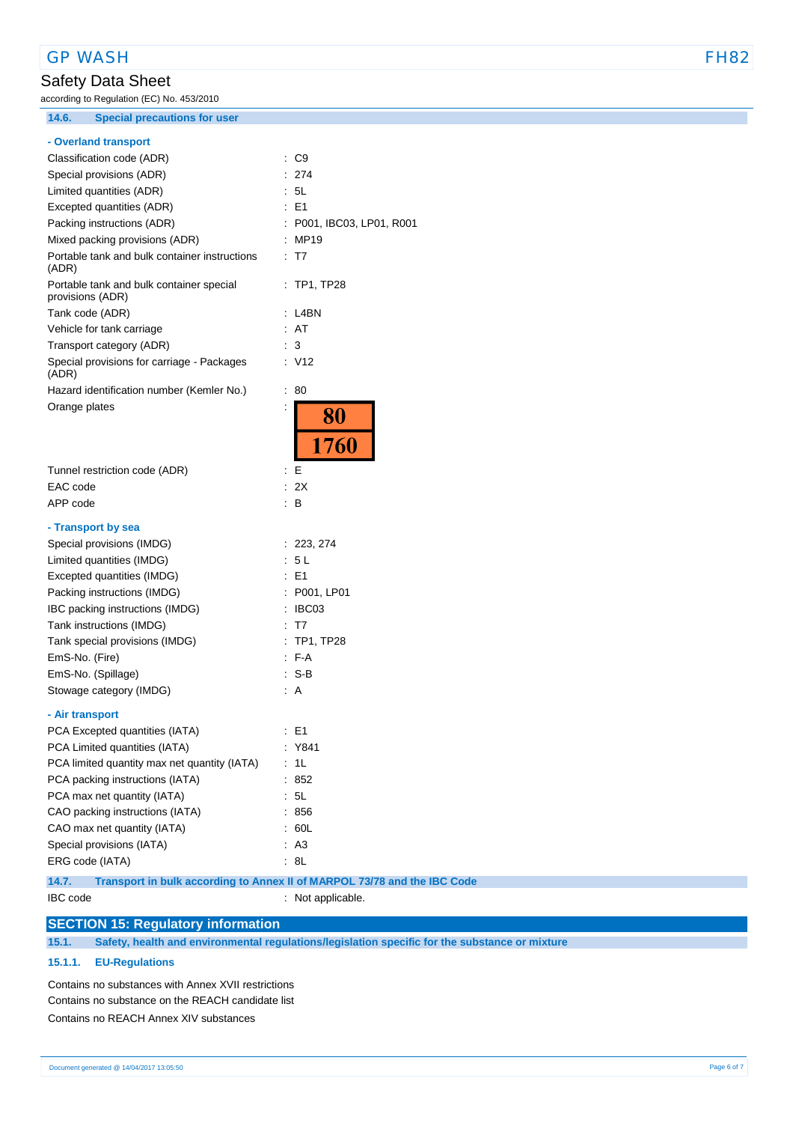### GP WASH FH82

# Safety Data Sheet

according to Regulation (EC) No. 453/2010

**14.6. Special precautions for user**

### **- Overland transport**

| Classification code (ADR)                                             | C9                                 |
|-----------------------------------------------------------------------|------------------------------------|
| Special provisions (ADR)                                              | 274                                |
| Limited quantities (ADR)                                              | 5L                                 |
| Excepted quantities (ADR)                                             | E1                                 |
| Packing instructions (ADR)                                            | P001, IBC03, LP01, R001            |
| Mixed packing provisions (ADR)                                        | MP19                               |
| Portable tank and bulk container instructions<br>(ADR)                | : T7                               |
| Portable tank and bulk container special<br>provisions (ADR)          | $:$ TP1, TP28                      |
| Tank code (ADR)                                                       | L4BN                               |
| Vehicle for tank carriage                                             | : AT                               |
| Transport category (ADR)                                              | 3                                  |
| Special provisions for carriage - Packages<br>(ADR)                   | : V12                              |
| Hazard identification number (Kemler No.)                             | ÷<br>80                            |
| Orange plates                                                         | $\ddot{\phantom{a}}$<br>80<br>1760 |
| Tunnel restriction code (ADR)                                         | Е<br>$\ddot{\phantom{a}}$          |
| EAC code                                                              | : 2X                               |
| APP code                                                              | в                                  |
|                                                                       |                                    |
| - Transport by sea<br>Special provisions (IMDG)                       | : 223, 274                         |
|                                                                       | - 5 L                              |
| Limited quantities (IMDG)<br>Excepted quantities (IMDG)               | E1                                 |
|                                                                       |                                    |
| Packing instructions (IMDG)<br>IBC packing instructions (IMDG)        | : P001, LP01<br>IBC03              |
|                                                                       | : T7                               |
| Tank instructions (IMDG)                                              |                                    |
| Tank special provisions (IMDG)                                        | $:$ TP1, TP28<br>$F-A$             |
| EmS-No. (Fire)                                                        | : S-B                              |
| EmS-No. (Spillage)                                                    | A                                  |
| Stowage category (IMDG)                                               |                                    |
| - Air transport                                                       |                                    |
| PCA Excepted quantities (IATA)                                        | : E1                               |
| PCA Limited quantities (IATA)                                         | : Y841                             |
| PCA limited quantity max net quantity (IATA)                          | 1L                                 |
| PCA packing instructions (IATA)                                       | 852                                |
| PCA max net quantity (IATA)                                           | 5L                                 |
| CAO packing instructions (IATA)                                       | 856                                |
| CAO max net quantity (IATA)                                           | 60L                                |
| Special provisions (IATA)                                             | A <sub>3</sub>                     |
| ERG code (IATA)                                                       | 8L                                 |
| 14.7. Transport in bulk according to Annex II of MARPOL 73/78 and the |                                    |

| 14.7.    | Transport in bulk according to Annex II of MARPOL 73/78 and the IBC Code |  |
|----------|--------------------------------------------------------------------------|--|
| IBC code | : Not applicable.                                                        |  |

### **SECTION 15: Regulatory information**

**15.1. Safety, health and environmental regulations/legislation specific for the substance or mixture**

#### **15.1.1. EU-Regulations**

Contains no substances with Annex XVII restrictions Contains no substance on the REACH candidate list Contains no REACH Annex XIV substances